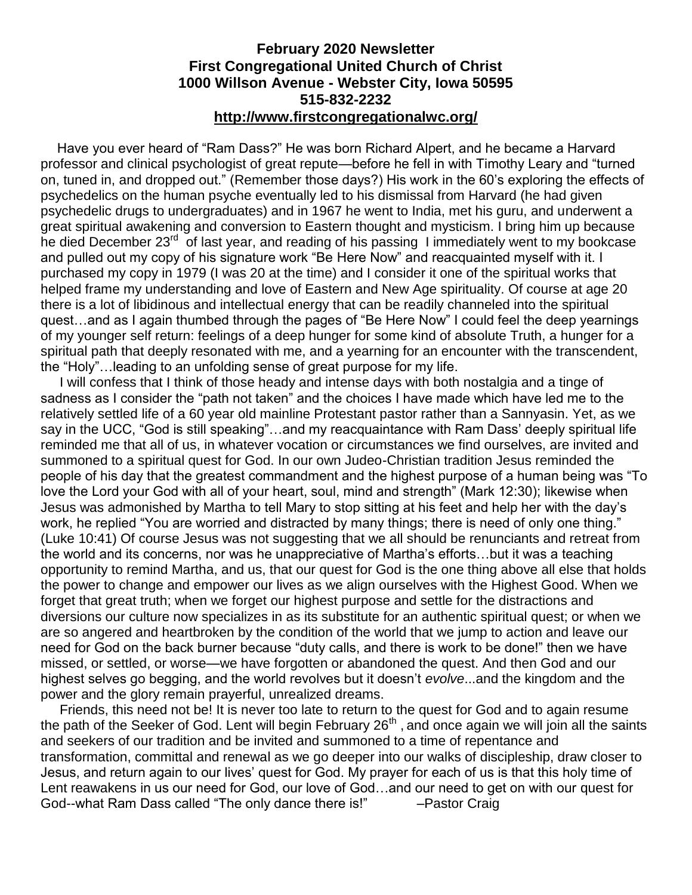### **February 2020 Newsletter First Congregational United Church of Christ 1000 Willson Avenue - Webster City, Iowa 50595 515-832-2232 <http://www.firstcongregationalwc.org/>**

 Have you ever heard of "Ram Dass?" He was born Richard Alpert, and he became a Harvard professor and clinical psychologist of great repute—before he fell in with Timothy Leary and "turned on, tuned in, and dropped out." (Remember those days?) His work in the 60's exploring the effects of psychedelics on the human psyche eventually led to his dismissal from Harvard (he had given psychedelic drugs to undergraduates) and in 1967 he went to India, met his guru, and underwent a great spiritual awakening and conversion to Eastern thought and mysticism. I bring him up because he died December 23<sup>rd</sup> of last year, and reading of his passing I immediately went to my bookcase and pulled out my copy of his signature work "Be Here Now" and reacquainted myself with it. I purchased my copy in 1979 (I was 20 at the time) and I consider it one of the spiritual works that helped frame my understanding and love of Eastern and New Age spirituality. Of course at age 20 there is a lot of libidinous and intellectual energy that can be readily channeled into the spiritual quest…and as I again thumbed through the pages of "Be Here Now" I could feel the deep yearnings of my younger self return: feelings of a deep hunger for some kind of absolute Truth, a hunger for a spiritual path that deeply resonated with me, and a yearning for an encounter with the transcendent, the "Holy"…leading to an unfolding sense of great purpose for my life.

 I will confess that I think of those heady and intense days with both nostalgia and a tinge of sadness as I consider the "path not taken" and the choices I have made which have led me to the relatively settled life of a 60 year old mainline Protestant pastor rather than a Sannyasin. Yet, as we say in the UCC, "God is still speaking"…and my reacquaintance with Ram Dass' deeply spiritual life reminded me that all of us, in whatever vocation or circumstances we find ourselves, are invited and summoned to a spiritual quest for God. In our own Judeo-Christian tradition Jesus reminded the people of his day that the greatest commandment and the highest purpose of a human being was "To love the Lord your God with all of your heart, soul, mind and strength" (Mark 12:30); likewise when Jesus was admonished by Martha to tell Mary to stop sitting at his feet and help her with the day's work, he replied "You are worried and distracted by many things; there is need of only one thing." (Luke 10:41) Of course Jesus was not suggesting that we all should be renunciants and retreat from the world and its concerns, nor was he unappreciative of Martha's efforts…but it was a teaching opportunity to remind Martha, and us, that our quest for God is the one thing above all else that holds the power to change and empower our lives as we align ourselves with the Highest Good. When we forget that great truth; when we forget our highest purpose and settle for the distractions and diversions our culture now specializes in as its substitute for an authentic spiritual quest; or when we are so angered and heartbroken by the condition of the world that we jump to action and leave our need for God on the back burner because "duty calls, and there is work to be done!" then we have missed, or settled, or worse—we have forgotten or abandoned the quest. And then God and our highest selves go begging, and the world revolves but it doesn't *evolve*...and the kingdom and the power and the glory remain prayerful, unrealized dreams.

 Friends, this need not be! It is never too late to return to the quest for God and to again resume the path of the Seeker of God. Lent will begin February 26<sup>th</sup>, and once again we will join all the saints and seekers of our tradition and be invited and summoned to a time of repentance and transformation, committal and renewal as we go deeper into our walks of discipleship, draw closer to Jesus, and return again to our lives' quest for God. My prayer for each of us is that this holy time of Lent reawakens in us our need for God, our love of God…and our need to get on with our quest for God--what Ram Dass called "The only dance there is!" – Pastor Craig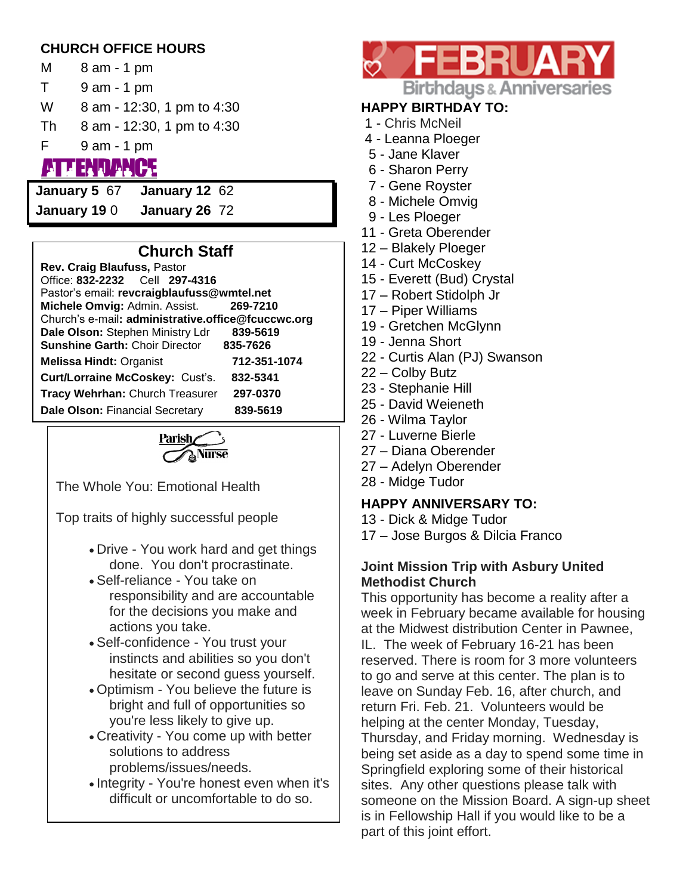# **CHURCH OFFICE HOURS**

- M 8 am 1 pm
- T 9 am 1 pm
- W 8 am 12:30, 1 pm to 4:30
- Th 8 am 12:30, 1 pm to 4:30
- F 9 am 1 pm
- **TENDANCE**
- **January 5** 67 **January 12** 62

**January 19** 0 **January 26** 72

# **Church Staff**

| Rev. Craig Blaufuss, Pastor                        |              |  |  |  |
|----------------------------------------------------|--------------|--|--|--|
| Office: 832-2232 Cell 297-4316                     |              |  |  |  |
| Pastor's email: revcraigblaufuss@wmtel.net         |              |  |  |  |
| Michele Omvig: Admin. Assist.                      | 269-7210     |  |  |  |
| Church's e-mail: administrative.office@fcuccwc.org |              |  |  |  |
| Dale Olson: Stephen Ministry Ldr                   | 839-5619     |  |  |  |
| <b>Sunshine Garth: Choir Director</b>              | 835-7626     |  |  |  |
| <b>Melissa Hindt: Organist</b>                     | 712-351-1074 |  |  |  |
| Curt/Lorraine McCoskey: Cust's.                    | 832-5341     |  |  |  |
| Tracy Wehrhan: Church Treasurer                    | 297-0370     |  |  |  |
| Dale Olson: Financial Secretary                    | 839-5619     |  |  |  |



The Whole You: Emotional Health

Top traits of highly successful people

- Drive You work hard and get things done. You don't procrastinate.
- Self-reliance You take on responsibility and are accountable for the decisions you make and actions you take.
- Self-confidence You trust your instincts and abilities so you don't hesitate or second guess yourself.
- Optimism You believe the future is bright and full of opportunities so you're less likely to give up.
- Creativity You come up with better solutions to address problems/issues/needs.
- Integrity You're honest even when it's difficult or uncomfortable to do so.



# **HAPPY BIRTHDAY TO:**

- 1 Chris McNeil
- 4 Leanna Ploeger
- 5 Jane Klaver
- 6 Sharon Perry
- 7 Gene Royster
- 8 Michele Omvig
- 9 Les Ploeger
- 11 Greta Oberender
- 12 Blakely Ploeger
- 14 Curt McCoskey
- 15 Everett (Bud) Crystal
- 17 Robert Stidolph Jr
- 17 Piper Williams
- 19 Gretchen McGlynn
- 19 Jenna Short
- 22 Curtis Alan (PJ) Swanson
- 22 Colby Butz
- 23 Stephanie Hill
- 25 David Weieneth
- 26 Wilma Taylor
- 27 Luverne Bierle
- 27 Diana Oberender
- 27 Adelyn Oberender
- 28 Midge Tudor

### **HAPPY ANNIVERSARY TO:**

- 13 Dick & Midge Tudor
- 17 Jose Burgos & Dilcia Franco

### **Joint Mission Trip with Asbury United Methodist Church**

This opportunity has become a reality after a week in February became available for housing at the Midwest distribution Center in Pawnee, IL. The week of February 16-21 has been reserved. There is room for 3 more volunteers to go and serve at this center. The plan is to leave on Sunday Feb. 16, after church, and return Fri. Feb. 21. Volunteers would be helping at the center Monday, Tuesday, Thursday, and Friday morning. Wednesday is being set aside as a day to spend some time in Springfield exploring some of their historical sites. Any other questions please talk with someone on the Mission Board. A sign-up sheet is in Fellowship Hall if you would like to be a part of this joint effort.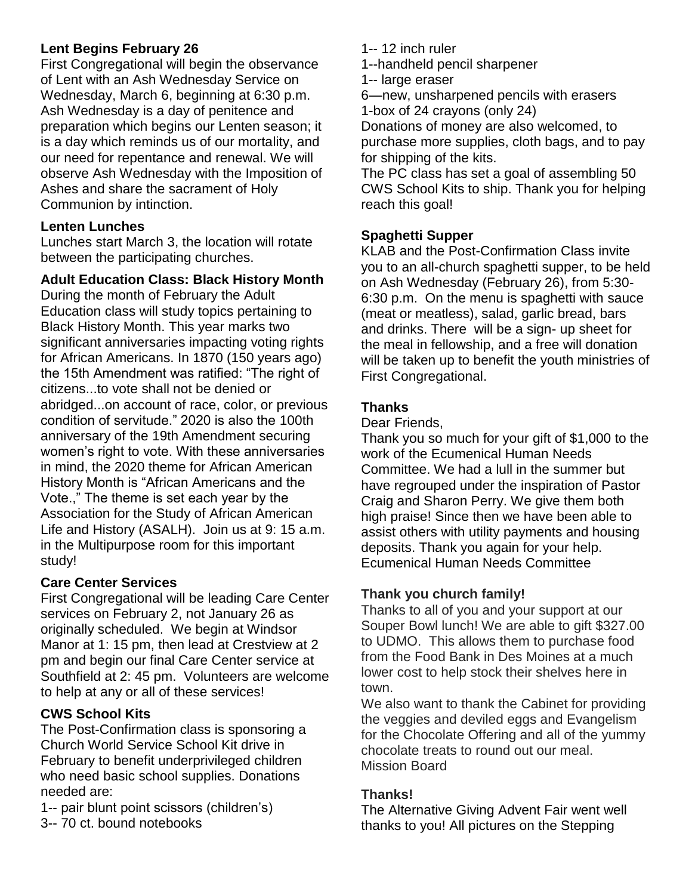# **Lent Begins February 26**

First Congregational will begin the observance of Lent with an Ash Wednesday Service on Wednesday, March 6, beginning at 6:30 p.m. Ash Wednesday is a day of penitence and preparation which begins our Lenten season; it is a day which reminds us of our mortality, and our need for repentance and renewal. We will observe Ash Wednesday with the Imposition of Ashes and share the sacrament of Holy Communion by intinction.

## **Lenten Lunches**

Lunches start March 3, the location will rotate between the participating churches.

# **Adult Education Class: Black History Month**

During the month of February the Adult Education class will study topics pertaining to Black History Month. This year marks two significant anniversaries impacting voting rights for African Americans. In 1870 (150 years ago) the 15th Amendment was ratified: "The right of citizens...to vote shall not be denied or abridged...on account of race, color, or previous condition of servitude." 2020 is also the 100th anniversary of the 19th Amendment securing women's right to vote. With these anniversaries in mind, the 2020 theme for African American History Month is "African Americans and the Vote.," The theme is set each year by the Association for the Study of African American Life and History (ASALH). Join us at 9: 15 a.m. in the Multipurpose room for this important study!

# **Care Center Services**

First Congregational will be leading Care Center services on February 2, not January 26 as originally scheduled. We begin at Windsor Manor at 1: 15 pm, then lead at Crestview at 2 pm and begin our final Care Center service at Southfield at 2: 45 pm. Volunteers are welcome to help at any or all of these services!

# **CWS School Kits**

The Post-Confirmation class is sponsoring a Church World Service School Kit drive in February to benefit underprivileged children who need basic school supplies. Donations needed are:

1-- pair blunt point scissors (children's)

3-- 70 ct. bound notebooks

1-- 12 inch ruler

1--handheld pencil sharpener

1-- large eraser

6—new, unsharpened pencils with erasers 1-box of 24 crayons (only 24)

Donations of money are also welcomed, to purchase more supplies, cloth bags, and to pay for shipping of the kits.

The PC class has set a goal of assembling 50 CWS School Kits to ship. Thank you for helping reach this goal!

# **Spaghetti Supper**

KLAB and the Post-Confirmation Class invite you to an all-church spaghetti supper, to be held on Ash Wednesday (February 26), from 5:30- 6:30 p.m. On the menu is spaghetti with sauce (meat or meatless), salad, garlic bread, bars and drinks. There will be a sign- up sheet for the meal in fellowship, and a free will donation will be taken up to benefit the youth ministries of First Congregational.

## **Thanks**

Dear Friends,

Thank you so much for your gift of \$1,000 to the work of the Ecumenical Human Needs Committee. We had a lull in the summer but have regrouped under the inspiration of Pastor Craig and Sharon Perry. We give them both high praise! Since then we have been able to assist others with utility payments and housing deposits. Thank you again for your help. Ecumenical Human Needs Committee

# **Thank you church family!**

Thanks to all of you and your support at our Souper Bowl lunch! We are able to gift \$327.00 to UDMO. This allows them to purchase food from the Food Bank in Des Moines at a much lower cost to help stock their shelves here in town.

We also want to thank the Cabinet for providing the veggies and deviled eggs and Evangelism for the Chocolate Offering and all of the yummy chocolate treats to round out our meal. Mission Board

# **Thanks!**

The Alternative Giving Advent Fair went well thanks to you! All pictures on the Stepping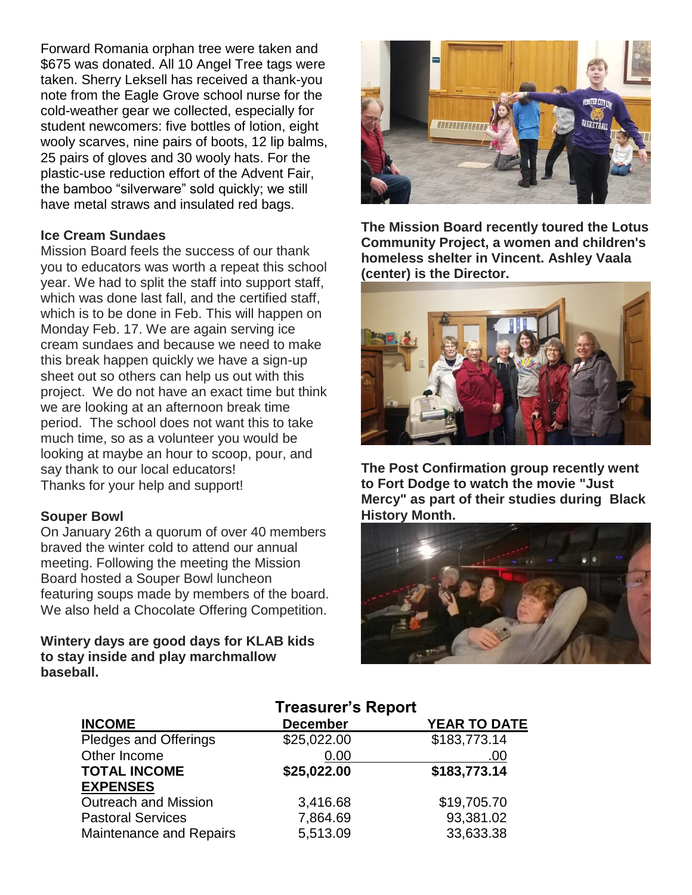Forward Romania orphan tree were taken and \$675 was donated. All 10 Angel Tree tags were taken. Sherry Leksell has received a thank-you note from the Eagle Grove school nurse for the cold-weather gear we collected, especially for student newcomers: five bottles of lotion, eight wooly scarves, nine pairs of boots, 12 lip balms, 25 pairs of gloves and 30 wooly hats. For the plastic-use reduction effort of the Advent Fair, the bamboo "silverware" sold quickly; we still have metal straws and insulated red bags.

#### **Ice Cream Sundaes**

Mission Board feels the success of our thank you to educators was worth a repeat this school year. We had to split the staff into support staff, which was done last fall, and the certified staff, which is to be done in Feb. This will happen on Monday Feb. 17. We are again serving ice cream sundaes and because we need to make this break happen quickly we have a sign-up sheet out so others can help us out with this project. We do not have an exact time but think we are looking at an afternoon break time period. The school does not want this to take much time, so as a volunteer you would be looking at maybe an hour to scoop, pour, and say thank to our local educators! Thanks for your help and support!

#### **Souper Bowl**

On January 26th a quorum of over 40 members braved the winter cold to attend our annual meeting. Following the meeting the Mission Board hosted a Souper Bowl luncheon featuring soups made by members of the board. We also held a Chocolate Offering Competition.

#### **Wintery days are good days for KLAB kids to stay inside and play marchmallow baseball.**



**The Mission Board recently toured the Lotus Community Project, a women and children's homeless shelter in Vincent. Ashley Vaala (center) is the Director.**



**The Post Confirmation group recently went to Fort Dodge to watch the movie "Just Mercy" as part of their studies during Black History Month.**



|                                | <b>Treasurer's Report</b> |                     |  |
|--------------------------------|---------------------------|---------------------|--|
| <b>INCOME</b>                  | <b>December</b>           | <b>YEAR TO DATE</b> |  |
| Pledges and Offerings          | \$25,022.00               | \$183,773.14        |  |
| Other Income                   | 0.00                      | .00                 |  |
| <b>TOTAL INCOME</b>            | \$25,022.00               | \$183,773.14        |  |
| <b>EXPENSES</b>                |                           |                     |  |
| <b>Outreach and Mission</b>    | 3,416.68                  | \$19,705.70         |  |
| <b>Pastoral Services</b>       | 7,864.69                  | 93,381.02           |  |
| <b>Maintenance and Repairs</b> | 5,513.09                  | 33,633.38           |  |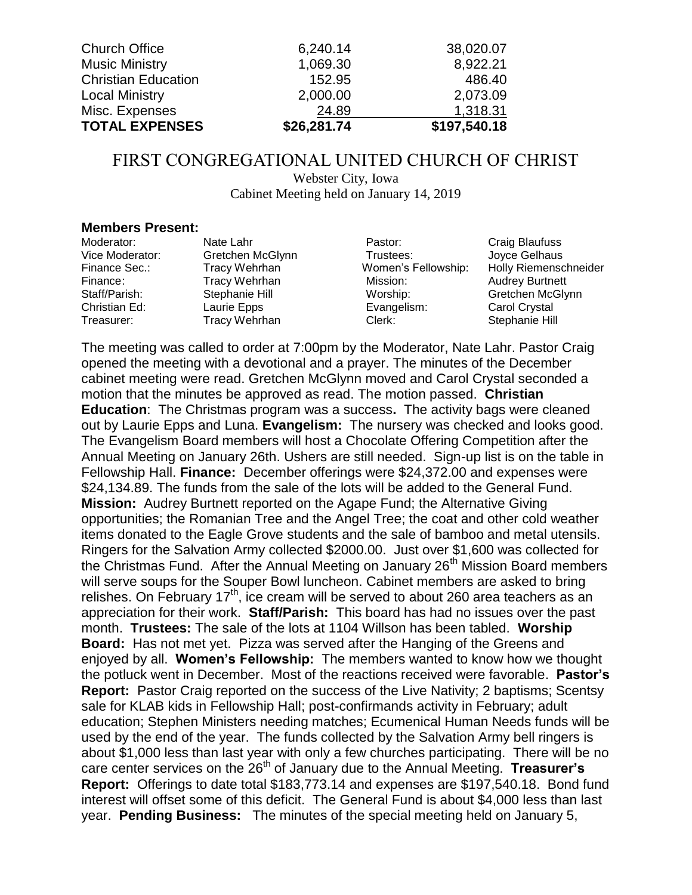| <b>Church Office</b>       | 6,240.14    | 38,020.07    |
|----------------------------|-------------|--------------|
| <b>Music Ministry</b>      | 1,069.30    | 8,922.21     |
| <b>Christian Education</b> | 152.95      | 486.40       |
| <b>Local Ministry</b>      | 2,000.00    | 2,073.09     |
| Misc. Expenses             | 24.89       | 1,318.31     |
| <b>TOTAL EXPENSES</b>      | \$26,281.74 | \$197,540.18 |

# FIRST CONGREGATIONAL UNITED CHURCH OF CHRIST

Webster City, Iowa Cabinet Meeting held on January 14, 2019

#### **Members Present:**

| Nate Lahr        | Pastor:     | Craig Blaufuss         |
|------------------|-------------|------------------------|
| Gretchen McGlynn | Trustees:   | Joyce Gelhaus          |
| Tracy Wehrhan    |             | Holly Riemenschneider  |
| Tracy Wehrhan    | Mission:    | <b>Audrey Burtnett</b> |
| Stephanie Hill   | Worship:    | Gretchen McGlynn       |
| Laurie Epps      | Evangelism: | Carol Crystal          |
| Tracy Wehrhan    | Clerk:      | Stephanie Hill         |
|                  |             | Women's Fellowship:    |

The meeting was called to order at 7:00pm by the Moderator, Nate Lahr. Pastor Craig opened the meeting with a devotional and a prayer. The minutes of the December cabinet meeting were read. Gretchen McGlynn moved and Carol Crystal seconded a motion that the minutes be approved as read. The motion passed. **Christian Education**: The Christmas program was a success**.** The activity bags were cleaned out by Laurie Epps and Luna. **Evangelism:** The nursery was checked and looks good. The Evangelism Board members will host a Chocolate Offering Competition after the Annual Meeting on January 26th. Ushers are still needed. Sign-up list is on the table in Fellowship Hall. **Finance:** December offerings were \$24,372.00 and expenses were \$24,134.89. The funds from the sale of the lots will be added to the General Fund. **Mission:** Audrey Burtnett reported on the Agape Fund; the Alternative Giving opportunities; the Romanian Tree and the Angel Tree; the coat and other cold weather items donated to the Eagle Grove students and the sale of bamboo and metal utensils. Ringers for the Salvation Army collected \$2000.00. Just over \$1,600 was collected for the Christmas Fund. After the Annual Meeting on January 26<sup>th</sup> Mission Board members will serve soups for the Souper Bowl luncheon. Cabinet members are asked to bring relishes. On February  $17<sup>th</sup>$ , ice cream will be served to about 260 area teachers as an appreciation for their work. **Staff/Parish:** This board has had no issues over the past month. **Trustees:** The sale of the lots at 1104 Willson has been tabled. **Worship Board:** Has not met yet. Pizza was served after the Hanging of the Greens and enjoyed by all. **Women's Fellowship:** The members wanted to know how we thought the potluck went in December. Most of the reactions received were favorable. **Pastor's Report:** Pastor Craig reported on the success of the Live Nativity; 2 baptisms; Scentsy sale for KLAB kids in Fellowship Hall; post-confirmands activity in February; adult education; Stephen Ministers needing matches; Ecumenical Human Needs funds will be used by the end of the year. The funds collected by the Salvation Army bell ringers is about \$1,000 less than last year with only a few churches participating. There will be no care center services on the 26th of January due to the Annual Meeting. **Treasurer's Report:** Offerings to date total \$183,773.14 and expenses are \$197,540.18. Bond fund interest will offset some of this deficit. The General Fund is about \$4,000 less than last year. **Pending Business:** The minutes of the special meeting held on January 5,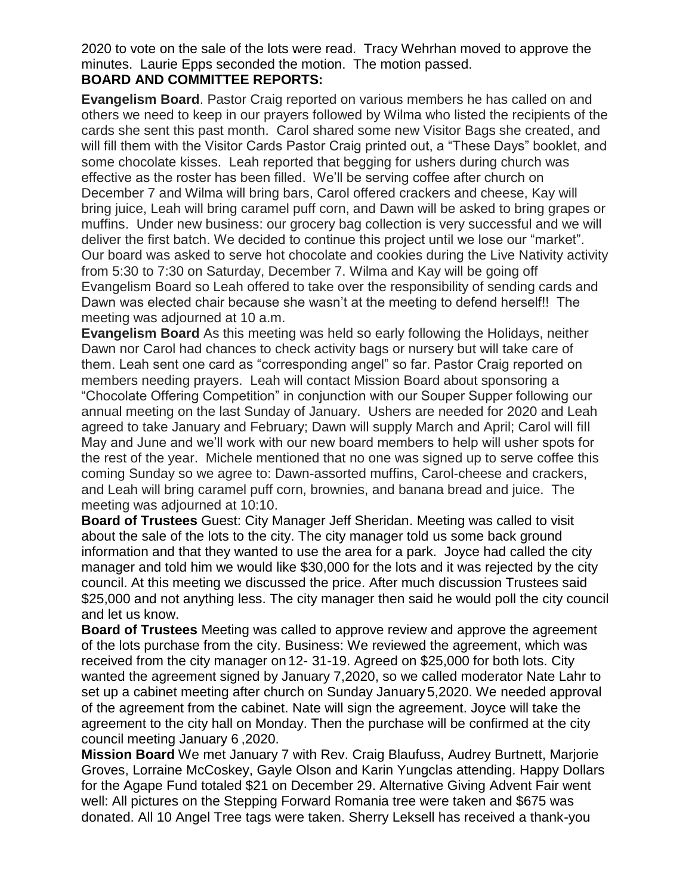2020 to vote on the sale of the lots were read. Tracy Wehrhan moved to approve the minutes. Laurie Epps seconded the motion. The motion passed. **BOARD AND COMMITTEE REPORTS:**

**Evangelism Board**. Pastor Craig reported on various members he has called on and others we need to keep in our prayers followed by Wilma who listed the recipients of the cards she sent this past month. Carol shared some new Visitor Bags she created, and will fill them with the Visitor Cards Pastor Craig printed out, a "These Days" booklet, and some chocolate kisses. Leah reported that begging for ushers during church was effective as the roster has been filled. We'll be serving coffee after church on December 7 and Wilma will bring bars, Carol offered crackers and cheese, Kay will bring juice, Leah will bring caramel puff corn, and Dawn will be asked to bring grapes or muffins. Under new business: our grocery bag collection is very successful and we will deliver the first batch. We decided to continue this project until we lose our "market". Our board was asked to serve hot chocolate and cookies during the Live Nativity activity from 5:30 to 7:30 on Saturday, December 7. Wilma and Kay will be going off Evangelism Board so Leah offered to take over the responsibility of sending cards and Dawn was elected chair because she wasn't at the meeting to defend herself!! The meeting was adjourned at 10 a.m.

**Evangelism Board** As this meeting was held so early following the Holidays, neither Dawn nor Carol had chances to check activity bags or nursery but will take care of them. Leah sent one card as "corresponding angel" so far. Pastor Craig reported on members needing prayers. Leah will contact Mission Board about sponsoring a "Chocolate Offering Competition" in conjunction with our Souper Supper following our annual meeting on the last Sunday of January. Ushers are needed for 2020 and Leah agreed to take January and February; Dawn will supply March and April; Carol will fill May and June and we'll work with our new board members to help will usher spots for the rest of the year. Michele mentioned that no one was signed up to serve coffee this coming Sunday so we agree to: Dawn-assorted muffins, Carol-cheese and crackers, and Leah will bring caramel puff corn, brownies, and banana bread and juice. The meeting was adjourned at 10:10.

**Board of Trustees** Guest: City Manager Jeff Sheridan. Meeting was called to visit about the sale of the lots to the city. The city manager told us some back ground information and that they wanted to use the area for a park. Joyce had called the city manager and told him we would like \$30,000 for the lots and it was rejected by the city council. At this meeting we discussed the price. After much discussion Trustees said \$25,000 and not anything less. The city manager then said he would poll the city council and let us know.

**Board of Trustees** Meeting was called to approve review and approve the agreement of the lots purchase from the city. Business: We reviewed the agreement, which was received from the city manager on 12- 31-19. Agreed on \$25,000 for both lots. City wanted the agreement signed by January 7,2020, so we called moderator Nate Lahr to set up a cabinet meeting after church on Sunday January 5,2020. We needed approval of the agreement from the cabinet. Nate will sign the agreement. Joyce will take the agreement to the city hall on Monday. Then the purchase will be confirmed at the city council meeting January 6 ,2020.

**Mission Board** We met January 7 with Rev. Craig Blaufuss, Audrey Burtnett, Marjorie Groves, Lorraine McCoskey, Gayle Olson and Karin Yungclas attending. Happy Dollars for the Agape Fund totaled \$21 on December 29. Alternative Giving Advent Fair went well: All pictures on the Stepping Forward Romania tree were taken and \$675 was donated. All 10 Angel Tree tags were taken. Sherry Leksell has received a thank-you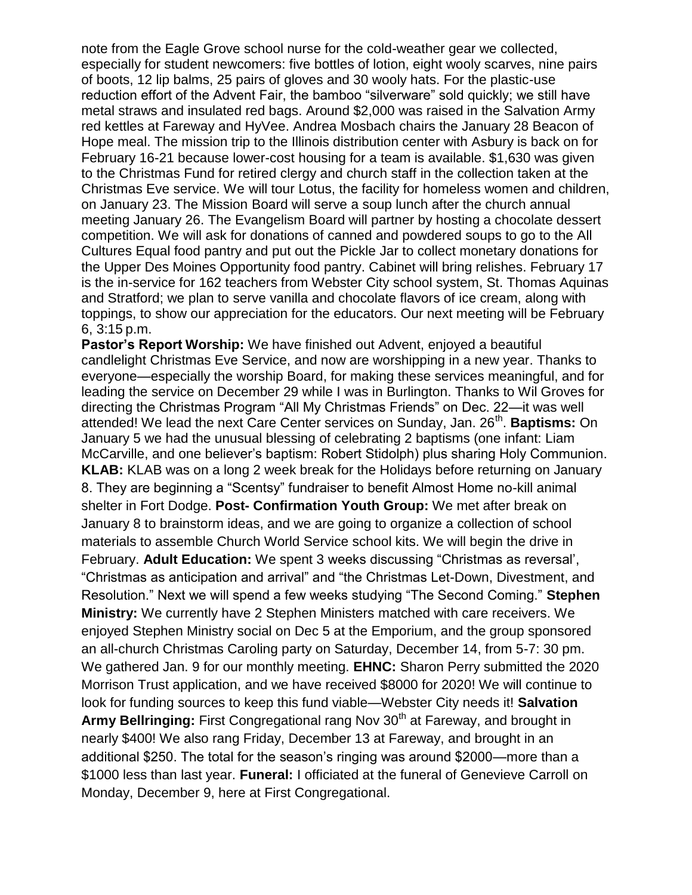note from the Eagle Grove school nurse for the cold-weather gear we collected, especially for student newcomers: five bottles of lotion, eight wooly scarves, nine pairs of boots, 12 lip balms, 25 pairs of gloves and 30 wooly hats. For the plastic-use reduction effort of the Advent Fair, the bamboo "silverware" sold quickly; we still have metal straws and insulated red bags. Around \$2,000 was raised in the Salvation Army red kettles at Fareway and HyVee. Andrea Mosbach chairs the January 28 Beacon of Hope meal. The mission trip to the Illinois distribution center with Asbury is back on for February 16-21 because lower-cost housing for a team is available. \$1,630 was given to the Christmas Fund for retired clergy and church staff in the collection taken at the Christmas Eve service. We will tour Lotus, the facility for homeless women and children, on January 23. The Mission Board will serve a soup lunch after the church annual meeting January 26. The Evangelism Board will partner by hosting a chocolate dessert competition. We will ask for donations of canned and powdered soups to go to the All Cultures Equal food pantry and put out the Pickle Jar to collect monetary donations for the Upper Des Moines Opportunity food pantry. Cabinet will bring relishes. February 17 is the in-service for 162 teachers from Webster City school system, St. Thomas Aquinas and Stratford; we plan to serve vanilla and chocolate flavors of ice cream, along with toppings, to show our appreciation for the educators. Our next meeting will be February 6, 3:15 p.m.

**Pastor's Report Worship:** We have finished out Advent, enjoyed a beautiful candlelight Christmas Eve Service, and now are worshipping in a new year. Thanks to everyone—especially the worship Board, for making these services meaningful, and for leading the service on December 29 while I was in Burlington. Thanks to Wil Groves for directing the Christmas Program "All My Christmas Friends" on Dec. 22—it was well attended! We lead the next Care Center services on Sunday, Jan. 26<sup>th</sup>. **Baptisms:** On January 5 we had the unusual blessing of celebrating 2 baptisms (one infant: Liam McCarville, and one believer's baptism: Robert Stidolph) plus sharing Holy Communion. **KLAB:** KLAB was on a long 2 week break for the Holidays before returning on January 8. They are beginning a "Scentsy" fundraiser to benefit Almost Home no-kill animal shelter in Fort Dodge. **Post- Confirmation Youth Group:** We met after break on January 8 to brainstorm ideas, and we are going to organize a collection of school materials to assemble Church World Service school kits. We will begin the drive in February. **Adult Education:** We spent 3 weeks discussing "Christmas as reversal', "Christmas as anticipation and arrival" and "the Christmas Let-Down, Divestment, and Resolution." Next we will spend a few weeks studying "The Second Coming." **Stephen Ministry:** We currently have 2 Stephen Ministers matched with care receivers. We enjoyed Stephen Ministry social on Dec 5 at the Emporium, and the group sponsored an all-church Christmas Caroling party on Saturday, December 14, from 5-7: 30 pm. We gathered Jan. 9 for our monthly meeting. **EHNC:** Sharon Perry submitted the 2020 Morrison Trust application, and we have received \$8000 for 2020! We will continue to look for funding sources to keep this fund viable—Webster City needs it! **Salvation**  Army Bellringing: First Congregational rang Nov 30<sup>th</sup> at Fareway, and brought in nearly \$400! We also rang Friday, December 13 at Fareway, and brought in an additional \$250. The total for the season's ringing was around \$2000—more than a \$1000 less than last year. **Funeral:** I officiated at the funeral of Genevieve Carroll on Monday, December 9, here at First Congregational.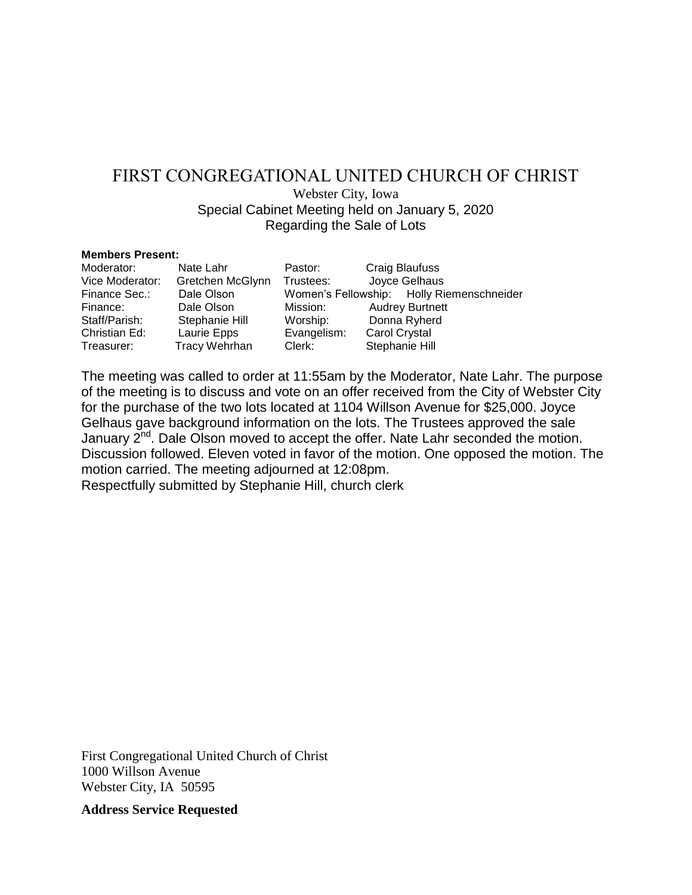# FIRST CONGREGATIONAL UNITED CHURCH OF CHRIST

Webster City, Iowa Special Cabinet Meeting held on January 5, 2020 Regarding the Sale of Lots

#### **Members Present:**

| Moderator:      | Nate Lahr            | Pastor:     | <b>Craig Blaufuss</b>                     |
|-----------------|----------------------|-------------|-------------------------------------------|
| Vice Moderator: | Gretchen McGlynn     | Trustees:   | Joyce Gelhaus                             |
| Finance Sec.:   | Dale Olson           |             | Women's Fellowship: Holly Riemenschneider |
| Finance:        | Dale Olson           | Mission:    | <b>Audrey Burtnett</b>                    |
| Staff/Parish:   | Stephanie Hill       | Worship:    | Donna Ryherd                              |
| Christian Ed:   | Laurie Epps          | Evangelism: | Carol Crystal                             |
| Treasurer:      | <b>Tracy Wehrhan</b> | Clerk:      | Stephanie Hill                            |

The meeting was called to order at 11:55am by the Moderator, Nate Lahr. The purpose of the meeting is to discuss and vote on an offer received from the City of Webster City for the purchase of the two lots located at 1104 Willson Avenue for \$25,000. Joyce Gelhaus gave background information on the lots. The Trustees approved the sale January 2<sup>nd</sup>. Dale Olson moved to accept the offer. Nate Lahr seconded the motion. Discussion followed. Eleven voted in favor of the motion. One opposed the motion. The motion carried. The meeting adjourned at 12:08pm.

Respectfully submitted by Stephanie Hill, church clerk

First Congregational United Church of Christ 1000 Willson Avenue Webster City, IA 50595

**Address Service Requested**